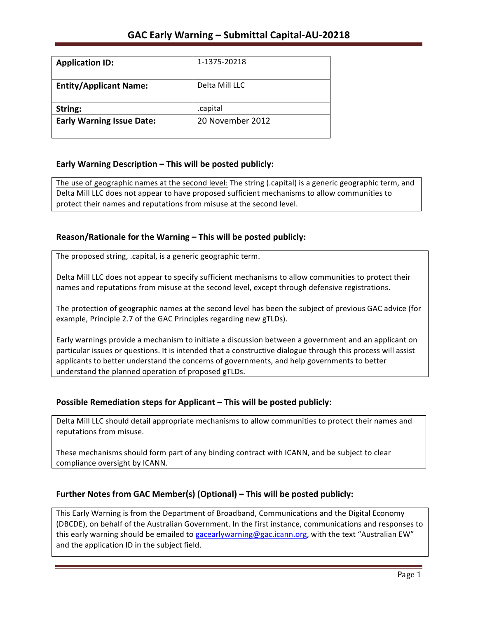| <b>Application ID:</b>           | 1-1375-20218     |
|----------------------------------|------------------|
| <b>Entity/Applicant Name:</b>    | Delta Mill LLC   |
| String:                          | .capital         |
| <b>Early Warning Issue Date:</b> | 20 November 2012 |

## **Early Warning Description – This will be posted publicly:**

The use of geographic names at the second level: The string (.capital) is a generic geographic term, and Delta Mill LLC does not appear to have proposed sufficient mechanisms to allow communities to protect their names and reputations from misuse at the second level.

## **Reason/Rationale for the Warning – This will be posted publicly:**

The proposed string, .capital, is a generic geographic term.

Delta Mill LLC does not appear to specify sufficient mechanisms to allow communities to protect their names and reputations from misuse at the second level, except through defensive registrations.

The protection of geographic names at the second level has been the subject of previous GAC advice (for example, Principle 2.7 of the GAC Principles regarding new gTLDs).

Early warnings provide a mechanism to initiate a discussion between a government and an applicant on particular issues or questions. It is intended that a constructive dialogue through this process will assist applicants to better understand the concerns of governments, and help governments to better understand the planned operation of proposed gTLDs.

### **Possible Remediation steps for Applicant – This will be posted publicly:**

Delta Mill LLC should detail appropriate mechanisms to allow communities to protect their names and reputations from misuse.

These mechanisms should form part of any binding contract with ICANN, and be subject to clear compliance oversight by ICANN.

### **Further Notes from GAC Member(s) (Optional) – This will be posted publicly:**

This Early Warning is from the Department of Broadband, Communications and the Digital Economy (DBCDE), on behalf of the Australian Government. In the first instance, communications and responses to this early warning should be emailed to gacearlywarning@gac.icann.org, with the text "Australian EW" and the application ID in the subject field.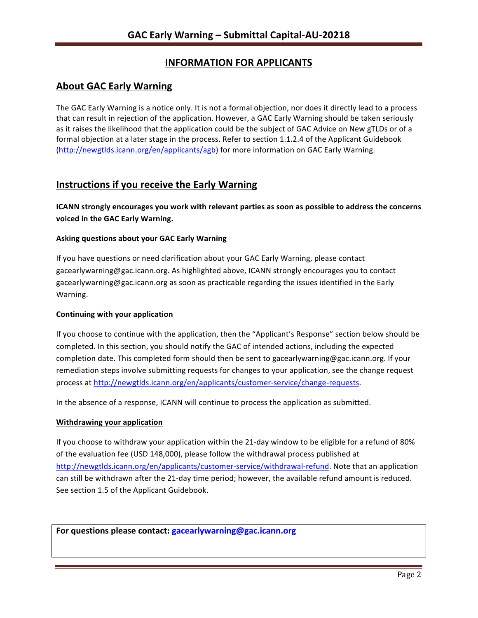# **INFORMATION FOR APPLICANTS**

# **About GAC Early Warning**

The GAC Early Warning is a notice only. It is not a formal objection, nor does it directly lead to a process that can result in rejection of the application. However, a GAC Early Warning should be taken seriously as it raises the likelihood that the application could be the subject of GAC Advice on New gTLDs or of a formal objection at a later stage in the process. Refer to section 1.1.2.4 of the Applicant Guidebook (http://newgtlds.icann.org/en/applicants/agb) for more information on GAC Early Warning.

## **Instructions if you receive the Early Warning**

**ICANN** strongly encourages you work with relevant parties as soon as possible to address the concerns **voiced in the GAC Early Warning.** 

#### **Asking questions about your GAC Early Warning**

If you have questions or need clarification about your GAC Early Warning, please contact gacearlywarning@gac.icann.org. As highlighted above, ICANN strongly encourages you to contact gacearlywarning@gac.icann.org as soon as practicable regarding the issues identified in the Early Warning. 

#### **Continuing with your application**

If you choose to continue with the application, then the "Applicant's Response" section below should be completed. In this section, you should notify the GAC of intended actions, including the expected completion date. This completed form should then be sent to gacearlywarning@gac.icann.org. If your remediation steps involve submitting requests for changes to your application, see the change request process at http://newgtlds.icann.org/en/applicants/customer-service/change-requests.

In the absence of a response, ICANN will continue to process the application as submitted.

#### **Withdrawing your application**

If you choose to withdraw your application within the 21-day window to be eligible for a refund of 80% of the evaluation fee (USD 148,000), please follow the withdrawal process published at http://newgtlds.icann.org/en/applicants/customer-service/withdrawal-refund. Note that an application can still be withdrawn after the 21-day time period; however, the available refund amount is reduced. See section 1.5 of the Applicant Guidebook.

For questions please contact: gacearlywarning@gac.icann.org